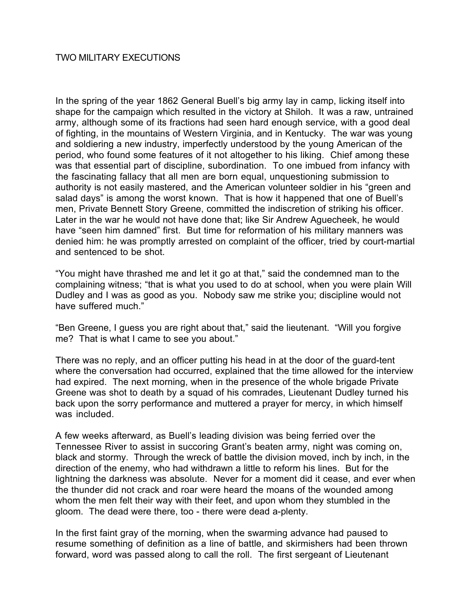## TWO MILITARY EXECUTIONS

In the spring of the year 1862 General Buell's big army lay in camp, licking itself into shape for the campaign which resulted in the victory at Shiloh. It was a raw, untrained army, although some of its fractions had seen hard enough service, with a good deal of fighting, in the mountains of Western Virginia, and in Kentucky. The war was young and soldiering a new industry, imperfectly understood by the young American of the period, who found some features of it not altogether to his liking. Chief among these was that essential part of discipline, subordination. To one imbued from infancy with the fascinating fallacy that all men are born equal, unquestioning submission to authority is not easily mastered, and the American volunteer soldier in his "green and salad days" is among the worst known. That is how it happened that one of Buell's men, Private Bennett Story Greene, committed the indiscretion of striking his officer. Later in the war he would not have done that; like Sir Andrew Aguecheek, he would have "seen him damned" first. But time for reformation of his military manners was denied him: he was promptly arrested on complaint of the officer, tried by court-martial and sentenced to be shot.

"You might have thrashed me and let it go at that," said the condemned man to the complaining witness; "that is what you used to do at school, when you were plain Will Dudley and I was as good as you. Nobody saw me strike you; discipline would not have suffered much."

"Ben Greene, I guess you are right about that," said the lieutenant. "Will you forgive me? That is what I came to see you about."

There was no reply, and an officer putting his head in at the door of the guard-tent where the conversation had occurred, explained that the time allowed for the interview had expired. The next morning, when in the presence of the whole brigade Private Greene was shot to death by a squad of his comrades, Lieutenant Dudley turned his back upon the sorry performance and muttered a prayer for mercy, in which himself was included.

A few weeks afterward, as Buell's leading division was being ferried over the Tennessee River to assist in succoring Grant's beaten army, night was coming on, black and stormy. Through the wreck of battle the division moved, inch by inch, in the direction of the enemy, who had withdrawn a little to reform his lines. But for the lightning the darkness was absolute. Never for a moment did it cease, and ever when the thunder did not crack and roar were heard the moans of the wounded among whom the men felt their way with their feet, and upon whom they stumbled in the gloom. The dead were there, too - there were dead a-plenty.

In the first faint gray of the morning, when the swarming advance had paused to resume something of definition as a line of battle, and skirmishers had been thrown forward, word was passed along to call the roll. The first sergeant of Lieutenant